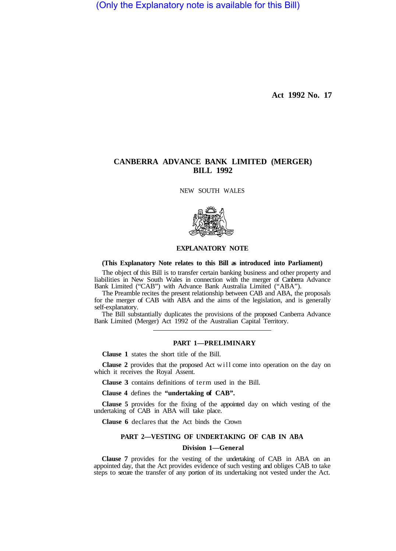(Only the Explanatory note is available for this Bill)

**Act 1992 No. 17** 

# **CANBERRA ADVANCE BANK LIMITED (MERGER) BILL 1992**

NEW SOUTH WALES



## **EXPLANATORY NOTE**

#### **(This Explanatory Note relates to this Bill as introduced into Parliament)**

The object of this Bill is to transfer certain banking business and other property and liabilities in New South Wales in connection with the merger of Canberra Advance Bank Limited ("CAB") with Advance Bank Australia Limited ("ABA").

The Preamble recites the present relationship between CAB and ABA, the proposals for the merger of CAB with ABA and the aims of the legislation, and is generally self-explanatory.

The Bill substantially duplicates the provisions of the proposed Canberra Advance Bank Limited (Merger) Act 1992 of the Australian Capital Territory.

#### **PART 1—PRELIMINARY**

**Clause 1** states the short title of the Bill.

**Clause 2** provides that the proposed Act will come into operation on the day on which it receives the Royal Assent.

**Clause 3** contains definitions of term used in the Bill.

**Clause 4** defines the **"undertaking of CAB".** 

**Clause 5** provides for the fixing of the appointed day on which vesting of the undertaking of CAB in ABA will take place.

**Clause 6** declares that the Act binds the Crown

## **PART 2—VESTING OF UNDERTAKING OF CAB IN ABA**

## **Division 1—General**

**Clause 7** provides for the vesting of the undertaking of CAB in ABA on an appointed day, that the Act provides evidence of such vesting and obliges CAB to take steps to secure the transfer of any portion of its undertaking not vested under the Act.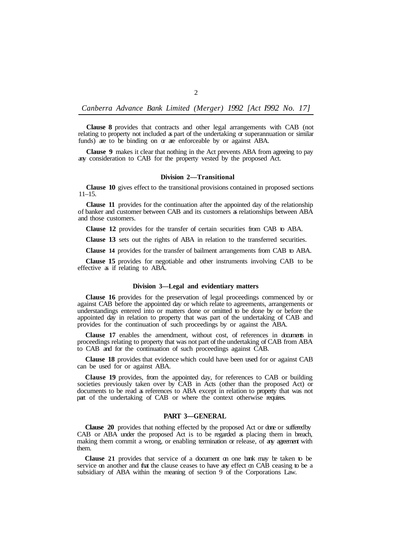*Canberra Advance Bank Limited (Merger) 1992 [Act I992 No. 17]* 

**Clause 8** provides that contracts and other legal arrangements with CAB (not relating to property not included as part of the undertaking  $\alpha$  superannuation or similar funds) are to be binding on or are enforceable by or against ABA.

**Clause 9** makes it clear that nothing in the Act prevents ABA from agreeing to pay any consideration to CAB for the property vested by the proposed Act.

#### **Division 2—Transitional**

**Clause 10** gives effect to the transitional provisions contained in proposed sections 11–15.

**Clause 11** provides for the continuation after the appointed day of the relationship of banker and customer between CAB and its customers as relationships between ABA and those customers.

**Clause 12** provides for the transfer of certain securities from CAB to ABA.

**Clause 13** sets out the rights of ABA in relation to the transferred securities.

**Clause 14** provides for the transfer of bailment arrangements from CAB to ABA.

**Clause 15** provides for negotiable and other instruments involving CAB to be effective as if relating to ABA.

## **Division 3—Legal and evidentiary matters**

**Clause 16** provides for the preservation of legal proceedings commenced by or against CAB before the appointed day or which relate to agreements, arrangements or understandings entered into or matters done or omitted to be done by or before the appointed day in relation to property that was part of the undertaking of CAB and provides for the continuation of such proceedings by or against the ABA.

**Clause 17** enables the amendment, without cost, of references in documents in proceedings relating to property that was not part of the undertaking of CAB from ABA to CAB and for the continuation of such proceedings against CAB.

**Clause 18** provides that evidence which could have been used for or against CAB can be used for or against ABA.

**Clause 19** provides, from the appointed day, for references to CAB or building societies previously taken over by CAB in Acts (other than the proposed Act) or documents to be read as references to ABA except in relation to property that was not part of the undertaking of CAB or where the context otherwise requires.

#### **PART 3—GENERAL**

**Clause 20** provides that nothing effected by the proposed Act or done or suffered by CAB or ABA under the proposed Act is to be regarded as placing them in breach, making them commit a wrong, or enabling termination or release, of any agreement with them.

**Clause 21** provides that service of a document on one bank may be taken to be service on another and that the clause ceases to have any effect on CAB ceasing to be a subsidiary of ABA within the meaning of section 9 of the Corporations Law.